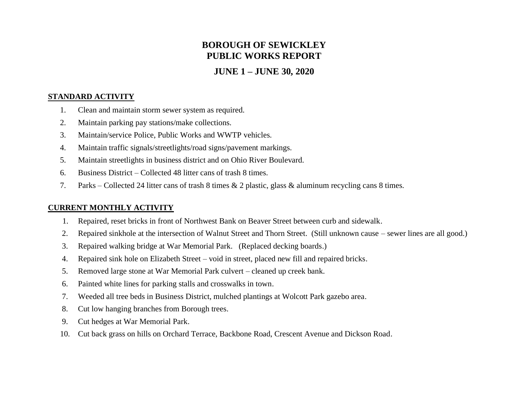# **BOROUGH OF SEWICKLEY PUBLIC WORKS REPORT**

# **JUNE 1 – JUNE 30, 2020**

#### **STANDARD ACTIVITY**

- 1. Clean and maintain storm sewer system as required.
- 2. Maintain parking pay stations/make collections.
- 3. Maintain/service Police, Public Works and WWTP vehicles.
- 4. Maintain traffic signals/streetlights/road signs/pavement markings.
- 5. Maintain streetlights in business district and on Ohio River Boulevard.
- 6. Business District Collected 48 litter cans of trash 8 times.
- 7. Parks Collected 24 litter cans of trash 8 times & 2 plastic, glass & aluminum recycling cans 8 times.

# **CURRENT MONTHLY ACTIVITY**

- 1. Repaired, reset bricks in front of Northwest Bank on Beaver Street between curb and sidewalk.
- 2. Repaired sinkhole at the intersection of Walnut Street and Thorn Street. (Still unknown cause sewer lines are all good.)
- 3. Repaired walking bridge at War Memorial Park. (Replaced decking boards.)
- 4. Repaired sink hole on Elizabeth Street void in street, placed new fill and repaired bricks.
- 5. Removed large stone at War Memorial Park culvert cleaned up creek bank.
- 6. Painted white lines for parking stalls and crosswalks in town.
- 7. Weeded all tree beds in Business District, mulched plantings at Wolcott Park gazebo area.
- 8. Cut low hanging branches from Borough trees.
- 9. Cut hedges at War Memorial Park.
- 10. Cut back grass on hills on Orchard Terrace, Backbone Road, Crescent Avenue and Dickson Road.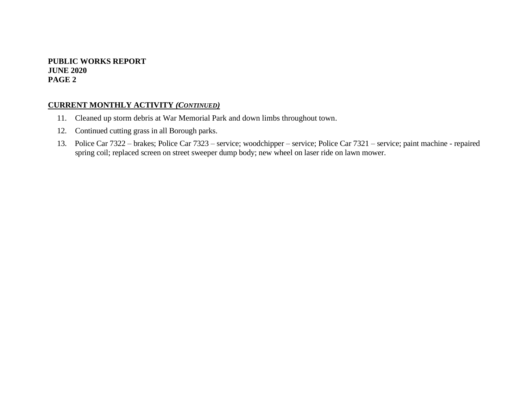### **PUBLIC WORKS REPORT JUNE 2020 PAGE 2**

# **CURRENT MONTHLY ACTIVITY** *(CONTINUED)*

- 11. Cleaned up storm debris at War Memorial Park and down limbs throughout town.
- 12. Continued cutting grass in all Borough parks.
- 13. Police Car 7322 brakes; Police Car 7323 service; woodchipper service; Police Car 7321 service; paint machine repaired spring coil; replaced screen on street sweeper dump body; new wheel on laser ride on lawn mower.